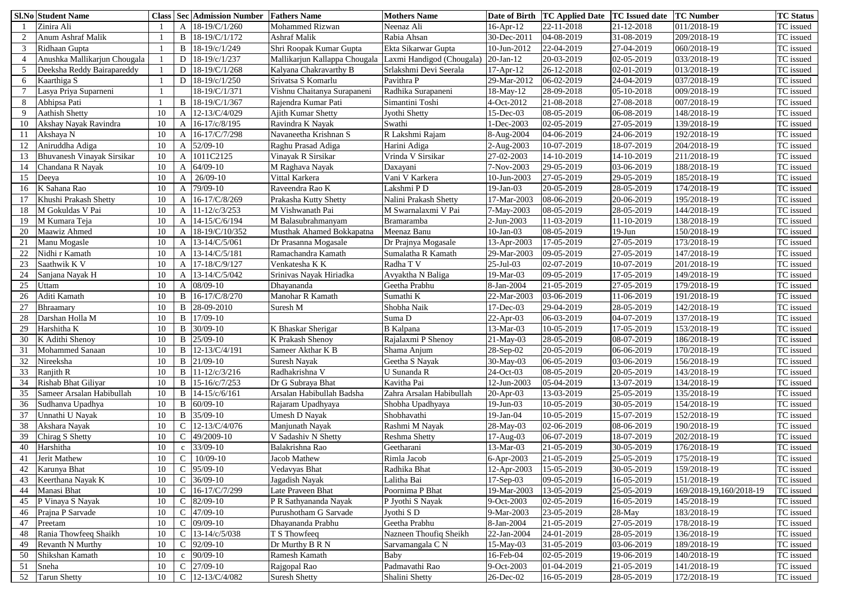|    | <b>Sl.No Student Name</b>         |    |              | <b>Class Sec Admission Number</b> | <b>Fathers Name</b>           | <b>Mothers Name</b>        | Date of Birth   | <b>TC Applied Date TC Issued date</b> |            | <b>TC Number</b>        | <b>TC Status</b> |
|----|-----------------------------------|----|--------------|-----------------------------------|-------------------------------|----------------------------|-----------------|---------------------------------------|------------|-------------------------|------------------|
|    | Zinira Ali                        |    |              | 18-19/C/1/260                     | <b>Mohammed Rizwan</b>        | Neenaz Ali                 | $16$ -Apr- $12$ | 22-11-2018                            | 21-12-2018 | 011/2018-19             | TC issued        |
|    | Anum Ashraf Malik                 |    |              | 18-19/C/1/172                     | <b>Ashraf Malik</b>           | Rabia Ahsan                | 30-Dec-2011     | 04-08-2019                            | 31-08-2019 | 209/2018-19             | TC issued        |
|    | Ridhaan Gupta                     |    |              | 18-19/c/1/249                     | Shri Roopak Kumar Gupta       | <b>Ekta Sikarwar Gupta</b> | 10-Jun-2012     | 22-04-2019                            | 27-04-2019 | 060/2018-19             | TC issued        |
|    | Anushka Mallikarjun Chougala      |    | D            | 18-19/c/1/237                     | Mallikarjun Kallappa Chougala | Laxmi Handigod (Chougala)  | $20$ -Jan- $12$ | 20-03-2019                            | 02-05-2019 | 033/2018-19             | TC issued        |
|    | Deeksha Reddy Bairapareddy        |    |              | 18-19/C/1/268                     | Kalyana Chakravarthy B        | Srlakshmi Devi Seerala     | $17 - Apr - 12$ | 26-12-2018                            | 02-01-2019 | 013/2018-19             | TC issued        |
| 6  | Kaarthiga S                       |    |              | 18-19/c/1/250                     | Srivatsa S Komarlu            | Pavithra P                 | 29-Mar-2012     | 06-02-2019                            | 24-04-2019 | 037/2018-19             | TC issued        |
|    | Lasya Priya Suparneni             |    |              | 18-19/C/1/371                     | Vishnu Chaitanya Surapaneni   | Radhika Surapaneni         | 18-May-12       | 28-09-2018                            | 05-10-2018 | 009/2018-19             | TC issued        |
| 8  | Abhipsa Pati                      |    |              | 18-19/C/1/367                     | Rajendra Kumar Pati           | Simantini Toshi            | 4-Oct-2012      | 21-08-2018                            | 27-08-2018 | 007/2018-19             | TC issued        |
| 9  | <b>Aathish Shetty</b>             | 10 |              | 12-13/C/4/029                     | <b>Ajith Kumar Shetty</b>     | Jyothi Shetty              | $15$ -Dec-03    | 08-05-2019                            | 06-08-2019 | 148/2018-19             | TC issued        |
| 10 | Akshay Nayak Ravindra             | 10 |              | 16-17/c/8/195                     | Ravindra K Nayak              | Swathi                     | $-$ Dec $-2003$ | 02-05-2019                            | 27-05-2019 | 139/2018-19             | TC issued        |
| 11 | Akshaya N                         | 10 |              | 16-17/C/7/298                     | Navaneetha Krishnan S         | R Lakshmi Rajam            | 8-Aug-2004      | 04-06-2019                            | 24-06-2019 | 192/2018-19             | TC issued        |
| 12 | Aniruddha Adiga                   | 10 |              | 52/09-10                          | Raghu Prasad Adiga            | Harini Adiga               | 2-Aug-2003      | 10-07-2019                            | 18-07-2019 | 204/2018-19             | TC issued        |
| 13 | <b>Bhuvanesh Vinayak Sirsikar</b> | 10 |              | 1011C2125                         | Vinayak R Sirsikar            | Vrinda V Sirsikar          | 27-02-2003      | 14-10-2019                            | 14-10-2019 | 211/2018-19             | TC issued        |
|    | Chandana R Nayak                  | 10 |              | $64/09-10$                        | M Raghava Nayak               | Daxayani                   | 7-Nov-2003      | 29-05-2019                            | 03-06-2019 | 188/2018-19             | TC issued        |
| 15 | Deeya                             | 10 |              | 26/09-10                          | Vittal Karkera                | Vani V Karkera             | 10-Jun-2003     | 27-05-2019                            | 29-05-2019 | 185/2018-19             | TC issued        |
| 16 | K Sahana Rao                      | 10 |              | 79/09-10                          | Raveendra Rao K               | Lakshmi PD                 | $19$ -Jan-03    | 20-05-2019                            | 28-05-2019 | 174/2018-19             | TC issued        |
|    | Khushi Prakash Shetty             | 10 |              | 16-17/C/8/269                     | Prakasha Kutty Shetty         | Nalini Prakash Shetty      | 17-Mar-2003     | 08-06-2019                            | 20-06-2019 | 195/2018-19             | TC issued        |
| 18 | M Gokuldas V Pai                  | 10 |              | 11-12/c/3/253                     | M Vishwanath Pai              | M Swarnalaxmi V Pai        | 7-May-2003      | 08-05-2019                            | 28-05-2019 | 144/2018-19             | TC issued        |
| 19 | M Kumara Teja                     | 10 |              | 14-15/C/6/194                     | M Balasubrahmanyam            | <b>Bramaramba</b>          | 2-Jun-2003      | 11-03-2019                            | 11-10-2019 | 138/2018-19             | TC issued        |
| 20 | Maawiz Ahmed                      | 10 |              | 18-19/C/10/352                    | Musthak Ahamed Bokkapatna     | Meenaz Banu                | $10$ -Jan-03    | 08-05-2019                            | $19-J$ un  | 150/2018-19             | TC issued        |
| 21 | Manu Mogasle                      | 10 |              | 13-14/C/5/061                     | Dr Prasanna Mogasale          | Dr Prajnya Mogasale        | 13-Apr-2003     | 17-05-2019                            | 27-05-2019 | 173/2018-19             | TC issued        |
| 22 | Vidhi r Kamath                    | 10 |              | 13-14/C/5/181                     | Ramachandra Kamath            | Sumalatha R Kamath         | 29-Mar-2003     | 09-05-2019                            | 27-05-2019 | 147/2018-19             | TC issued        |
| 23 | Saathwik K V                      | 10 |              | 17-18/C/9/127                     | Venkatesha K K                | Radha T V                  | $25$ -Jul-03    | 02-07-2019                            | 10-07-2019 | 201/2018-19             | TC issued        |
| 24 | Sanjana Nayak H                   | 10 |              | 13-14/C/5/042                     | Srinivas Nayak Hiriadka       | Avyaktha N Baliga          | 19-Mar-03       | 09-05-2019                            | 17-05-2019 | 149/2018-19             | TC issued        |
| 25 | <b>Jttam</b>                      | 10 |              | $08/09-10$                        | Dhayananda                    | Geetha Prabhu              | 8-Jan-2004      | 21-05-2019                            | 27-05-2019 | 179/2018-19             | TC issued        |
| 26 | Aditi Kamath                      | 10 |              | 16-17/C/8/270                     | Manohar R Kamath              | Sumathi K                  | 22-Mar-2003     | 03-06-2019                            | 11-06-2019 | 191/2018-19             | TC issued        |
| 27 | Bhraamary                         | 10 |              | 28-09-2010                        | Suresh M                      | Shobha Naik                | 17-Dec-03       | 29-04-2019                            | 28-05-2019 | 142/2018-19             | TC issued        |
| 28 | Darshan Holla M                   | 10 | B            | 17/09-10                          |                               | Suma D                     | $22-Apr-03$     | 06-03-2019                            | 04-07-2019 | 137/2018-19             | TC issued        |
|    | Harshitha K                       | 10 |              | $B \mid 30/09-10$                 | K Bhaskar Sherigar            | <b>B</b> Kalpana           | 13-Mar-03       | 10-05-2019                            | 17-05-2019 | 153/2018-19             | TC issued        |
| 30 | K Adithi Shenoy                   | 10 | B            | $25/09-10$                        | <b>K</b> Prakash Shenoy       | Rajalaxmi P Shenov         | 21-May-03       | 28-05-2019                            | 08-07-2019 | 186/2018-19             | TC issued        |
| 31 | <b>Mohammed Sanaan</b>            | 10 | B            | $12 - 13/C/4/191$                 | Sameer Akthar K B             | Shama Anjum                | 28-Sep-02       | 20-05-2019                            | 06-06-2019 | 170/2018-19             | TC issued        |
| 32 | Nireeksha                         | 10 | B            | $21/09-10$                        | <b>Suresh Nayak</b>           | Geetha S Nayak             | 30-May-03       | 06-05-2019                            | 03-06-2019 | 156/2018-19             | TC issued        |
| 33 | Ranjith R                         | 10 | B            | $11 - 12/c/3/216$                 | Radhakrishna V                | U Sunanda R                | 24-Oct-03       | 08-05-2019                            | 20-05-2019 | 143/2018-19             | TC issued        |
| 34 | <b>Rishab Bhat Giliyar</b>        | 10 | B            | $15 - 16/c / 7/253$               | Dr G Subraya Bhat             | Kavitha Pai                | 12-Jun-2003     | 05-04-2019                            | 13-07-2019 | 134/2018-19             | TC issued        |
| 35 | Sameer Arsalan Habibullah         | 10 | B            | 14-15/c/6/161                     | Arsalan Habibullah Badsha     | Zahra Arsalan Habibullah   | $20$ -Apr-03    | 13-03-2019                            | 25-05-2019 | 135/2018-19             | TC issued        |
| 36 | Sudhanva Upadhya                  | 10 |              | $60/09-10$                        | Rajaram Upadhyaya             | Shobha Upadhyaya           | 19-Jun-03       | 10-05-2019                            | 30-05-2019 | 154/2018-19             | TC issued        |
| 37 | Jnnathi U Nayak                   | 10 | B            | 35/09-10                          | Umesh D Nayak                 | Shobhavathi                | $19-Jan-04$     | 10-05-2019                            | 15-07-2019 | 152/2018-19             | TC issued        |
| 38 | Akshara Nayak                     | 10 |              | 12-13/C/4/076                     | Manjunath Nayak               | Rashmi M Nayak             | 28-May-03       | 02-06-2019                            | 08-06-2019 | 190/2018-19             | TC issued        |
| 39 | Chirag S Shetty                   | 10 |              | 49/2009-10                        | V Sadashiv N Shetty           | <b>Reshma Shetty</b>       | 17-Aug-03       | 06-07-2019                            | 18-07-2019 | 202/2018-19             | TC issued        |
| 40 | Harshitha                         | 10 | $\mathbf{c}$ | 33/09-10                          | Balakrishna Rao               | Geetharani                 | 13-Mar-03       | 21-05-2019                            | 30-05-2019 | 176/2018-19             | TC issued        |
| 41 | Jerit Mathew                      | 10 |              | 10/09-10                          | Jacob Mathew                  | Rimla Jacob                | 6-Apr-2003      | 21-05-2019                            | 25-05-2019 | 175/2018-19             | TC issued        |
|    | Karunya Bhat                      | 10 |              | 95/09-10                          | Vedavyas Bhat                 | Radhika Bhat               | 12-Apr-2003     | 15-05-2019                            | 30-05-2019 | 159/2018-19             | TC issued        |
| 43 | Keerthana Nayak K                 | 10 |              | $36/09-10$                        | Jagadish Nayak                | Lalitha Bai                | $17-Sep-03$     | 09-05-2019                            | 16-05-2019 | 151/2018-19             | TC issued        |
| 44 | Manasi Bhat                       | 10 |              | 16-17/C/7/299                     | Late Praveen Bhat             | Poornima P Bhat            | 19-Mar-2003     | 13-05-2019                            | 25-05-2019 | 169/2018-19,160/2018-19 | TC issued        |
| 45 | P Vinaya S Nayak                  | 10 |              | $82/09-10$                        | P R Sathyananda Nayak         | P Jyothi S Nayak           | 9-Oct-2003      | 02-05-2019                            | 16-05-2019 | 145/2018-19             | TC issued        |
| 46 | Prajna P Sarvade                  | 10 | $\mathsf{C}$ | 47/09-10                          | Purushotham G Sarvade         | Jyothi S D                 | 9-Mar-2003      | 23-05-2019                            | $28$ -May  | 183/2018-19             | TC issued        |
| 47 | Preetam                           | 10 |              | $09/09-10$                        | Dhayananda Prabhu             | Geetha Prabhu              | 8-Jan-2004      | 21-05-2019                            | 27-05-2019 | 178/2018-19             | TC issued        |
| 48 | Rania Thowfeeq Shaikh             | 10 |              | 13-14/c/5/038                     | T S Thowfeeq                  | Nazneen Thoufiq Sheikh     | 22-Jan-2004     | 24-01-2019                            | 28-05-2019 | 136/2018-19             | TC issued        |
| 49 | <b>Revanth N Murthy</b>           | 10 |              | 92/09-10                          | Dr Murthy B R N               | Sarvamangala C N           | 15-May-03       | 31-05-2019                            | 03-06-2019 | 189/2018-19             | TC issued        |
| 50 | Shikshan Kamath                   | 10 | $\mathbf{c}$ | $90/09-10$                        | Ramesh Kamath                 | Baby                       | 16-Feb-04       | 02-05-2019                            | 19-06-2019 | 140/2018-19             | TC issued        |
| 51 | Sneha                             | 10 |              | 27/09-10                          | Rajgopal Rao                  | Padmavathi Rao             | 9-Oct-2003      | 01-04-2019                            | 21-05-2019 | 141/2018-19             | TC issued        |
| 52 | <b>Tarun Shetty</b>               | 10 | $\mathsf{C}$ | 12-13/C/4/082                     | <b>Suresh Shetty</b>          | Shalini Shetty             | 26-Dec-02       | 16-05-2019                            | 28-05-2019 | 172/2018-19             | TC issued        |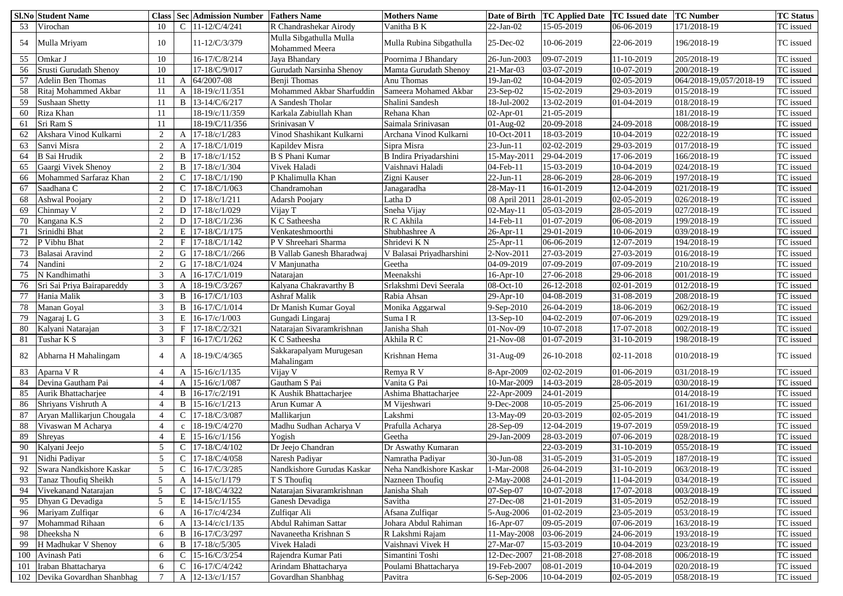|     | <b>Sl.No Student Name</b>       | <b>Class</b>   | <b>Sec</b>   | <b>Admission Number</b> | <b>Fathers Name</b>                              | <b>Mothers Name</b>      | <b>Date of Birth</b> | <b>TC Applied Date</b> | <b>TC Issued date</b> | <b>TC Number</b>        | <b>TC Status</b> |
|-----|---------------------------------|----------------|--------------|-------------------------|--------------------------------------------------|--------------------------|----------------------|------------------------|-----------------------|-------------------------|------------------|
| 53  | Virochan                        | 10             |              | 11-12/C/4/241           | R Chandrashekar Airody                           | Vanitha B K              | 22-Jan-02            | 15-05-2019             | 06-06-2019            | 171/2018-19             | TC issued        |
| 54  | Mulla Mriyam                    | 10             |              | 11-12/C/3/379           | Mulla Sibgathulla Mulla<br><b>Mohammed Meera</b> | Mulla Rubina Sibgathulla | 25-Dec-02            | 10-06-2019             | 22-06-2019            | 196/2018-19             | TC issued        |
| 55  | Omkar J                         | 10             |              | 16-17/C/8/214           | Jaya Bhandary                                    | Poornima J Bhandary      | 26-Jun-2003          | 09-07-2019             | 11-10-2019            | 205/2018-19             | TC issued        |
| 56  | <b>Srusti Gurudath Shenoy</b>   | 10             |              | 17-18/C/9/017           | Gurudath Narsinha Shenoy                         | Mamta Gurudath Shenoy    | 21-Mar-03            | 03-07-2019             | 10-07-2019            | 200/2018-19             | TC issued        |
| 57  | <b>Adelin Ben Thomas</b>        |                |              | 64/2007-08              | Benji Thomas                                     | Anu Thomas               | 19-Jan-02            | 10-04-2019             | 02-05-2019            | 064/2018-19,057/2018-19 | TC issued        |
| 58  | Ritaj Mohammed Akbar            |                |              | 18-19/c/11/351          | Mohammed Akbar Sharfuddin                        | Sameera Mohamed Akbar    | $23-Sep-02$          | 15-02-2019             | 29-03-2019            | 015/2018-19             | TC issued        |
| 59  | <b>Sushaan Shetty</b>           |                | B            | 13-14/C/6/217           | A Sandesh Tholar                                 | Shalini Sandesh          | 18-Jul-2002          | 13-02-2019             | 01-04-2019            | 018/2018-19             | TC issued        |
| 60  | Riza Khan                       |                |              | 18-19/c/11/359          | Karkala Zabiullah Khan                           | Rehana Khan              | 02-Apr-01            | 21-05-2019             |                       | 181/2018-19             | TC issued        |
| 61  | Sri Ram S                       |                |              | 18-19/C/11/356          | Srinivasan V                                     | Saimala Srinivasan       | 01-Aug-02            | 20-09-2018             | 24-09-2018            | 008/2018-19             | TC issued        |
| 62  | Akshara Vinod Kulkarni          | $\gamma$       |              | 17-18/c/1/283           | Vinod Shashikant Kulkarni                        | Archana Vinod Kulkarni   | 10-Oct-201           | 18-03-2019             | 10-04-2019            | 022/2018-19             | TC issued        |
| 63  | Sanvi Misra                     | 2              |              | 17-18/C/1/019           | Kapildev Misra                                   | Sipra Misra              | $23$ -Jun-11         | 02-02-2019             | 29-03-2019            | 017/2018-19             | TC issued        |
| 64  | <b>B</b> Sai Hrudik             | 2              |              | 17-18/c/1/152           | <b>B S Phani Kumar</b>                           | B Indira Priyadarshini   | 15-May-201           | 29-04-2019             | 17-06-2019            | 166/2018-19             | TC issued        |
| 65  | Gaargi Vivek Shenoy             | 2              | B            | 17-18/c/1/304           | Vivek Haladi                                     | Vaishnavi Haladi         | 04-Feb-11            | 15-03-2019             | 10-04-2019            | 024/2018-19             | TC issued        |
| 66  | Mohammed Sarfaraz Khan          | 2              |              | 17-18/C/1/190           | P Khalimulla Khan                                | Zigni Kauser             | $22$ -Jun-11         | 28-06-2019             | 28-06-2019            | 197/2018-19             | TC issued        |
| 67  | Saadhana C                      | 2              |              | 17-18/C/1/063           | Chandramohan                                     | Janagaradha              | 28-May-11            | 16-01-2019             | 12-04-2019            | 021/2018-19             | TC issued        |
| 68  | <b>Ashwal Poojary</b>           | $\overline{2}$ |              | 17-18/c/1/211           | <b>Adarsh Poojary</b>                            | Latha D                  | 08 April 2011        | 28-01-2019             | 02-05-2019            | 026/2018-19             | TC issued        |
| 69  | Chinmay V                       | 2              |              | 17-18/c/1/029           | Vijay T                                          | Sneha Vijay              | 02-May-11            | 05-03-2019             | 28-05-2019            | 027/2018-19             | TC issued        |
| 70  | Kangana K.S                     |                |              | 17-18/C/1/236           | K C Satheesha                                    | R C Akhila               | 14-Feb-11            | 01-07-2019             | 06-08-2019            | 199/2018-19             | TC issued        |
| 71  | Srinidhi Bhat                   | $\gamma$       | E            | 17-18/C/1/175           | Venkateshmoorthi                                 | Shubhashree A            | 26-Apr-11            | 29-01-2019             | 10-06-2019            | 039/2018-19             | TC issued        |
|     | P Vibhu Bhat                    | $\gamma$       |              | 17-18/C/1/142           | P V Shreehari Sharma                             | Shridevi KN              | 25-Apr-11            | 06-06-2019             | 12-07-2019            | 194/2018-19             | TC issued        |
| 73  | Balasai Aravind                 | ി              | G            | $17 - 18/C/1//266$      | <b>B Vallab Ganesh Bharadwaj</b>                 | V Balasai Priyadharshini | $2-Nov-201$          | 27-03-2019             | 27-03-2019            | 016/2018-19             | TC issued        |
| 74  | Nandini                         | $\gamma$       |              | $17 - 18/C/1/024$       | V Manjunatha                                     | Geetha                   | 04-09-2019           | 07-09-2019             | 07-09-2019            | 210/2018-19             | TC issued        |
| 75  | N Kandhimathi                   | 3              |              | 16-17/C/1/019           | Natarajan                                        | Meenakshi                | $16$ -Apr- $10$      | 27-06-2018             | 29-06-2018            | 001/2018-19             | TC issued        |
| 76  | Sri Sai Priya Bairapareddy      | 3              |              | 18-19/C/3/267           | Kalyana Chakravarthy B                           | Srlakshmi Devi Seerala   | $08$ -Oct- $10$      | 26-12-2018             | 02-01-2019            | 012/2018-19             | TC issued        |
| 77  | Hania Malik                     | 3              | B            | $16-17/C/1/103$         | <b>Ashraf Malik</b>                              | Rabia Ahsan              | 29-Apr-10            | 04-08-2019             | 31-08-2019            | 208/2018-19             | TC issued        |
| 78  | Manan Goyal                     | 3              | B            | 16-17/C/1/014           | Dr Manish Kumar Goyal                            | Monika Aggarwal          | $9-Sep-2010$         | 26-04-2019             | 18-06-2019            | 062/2018-19             | TC issued        |
| 79  | Nagaraj L G                     | 3              | E            | $16-17/c/1/003$         | Gungadi Lingaraj                                 | Suma IR                  | $13-Sep-10$          | 04-02-2019             | 07-06-2019            | 029/2018-19             | TC issued        |
| 80  | Kalyani Natarajan               |                |              | $F$   17-18/C/2/321     | Natarajan Sivaramkrishnan                        | Janisha Shah             | 01-Nov-09            | 10-07-2018             | 17-07-2018            | 002/2018-19             | TC issued        |
| 81  | Tushar K S                      | $\mathcal{R}$  |              | 16-17/C/1/262           | K C Satheesha                                    | Akhila R C               | 21-Nov-08            | 01-07-2019             | 31-10-2019            | 198/2018-19             | TC issued        |
| 82  | Abharna H Mahalingam            |                |              | A   18-19/C/4/365       | Sakkarapalyam Murugesan<br>Mahalingam            | Krishnan Hema            | 31-Aug-09            | 26-10-2018             | 02-11-2018            | 010/2018-19             | TC issued        |
| 83  | Aparna V R                      |                |              | $15-16/c/1/135$         | Vijay V                                          | Remya R V                | 8-Apr-2009           | 02-02-2019             | 01-06-2019            | 031/2018-19             | TC issued        |
| 84  | Devina Gautham Pai              |                |              | 15-16/c/1/087           | Gautham S Pai                                    | Vanita G Pai             | 10-Mar-2009          | 14-03-2019             | 28-05-2019            | 030/2018-19             | TC issued        |
| 85  | Aurik Bhattacharjee             |                | B            | 16-17/c/2/191           | K Aushik Bhattacharjee                           | Ashima Bhattacharjee     | 22-Apr-2009          | 24-01-2019             |                       | 014/2018-19             | TC issued        |
| 86  | Shriyans Vishruth A             |                | B            | $15-16/c/1/213$         | Arun Kumar A                                     | M Vijeshwari             | 9-Dec-2008           | 10-05-2019             | 25-06-2019            | 161/2018-19             | TC issued        |
| 87  | Aryan Mallikarjun Chougala      |                |              | 17-18/C/3/087           | Mallikarjun                                      | Lakshmi                  | 13-May-09            | 20-03-2019             | 02-05-2019            | $[041/2018-19]$         | TC issued        |
| 88  | Vivaswan M Acharya              |                | $\mathbf{C}$ | 18-19/C/4/270           | Madhu Sudhan Acharya V                           | Prafulla Acharya         | 28-Sep-09            | 12-04-2019             | 19-07-2019            | 059/2018-19             | TC issued        |
| 89  | <b>Shreyas</b>                  |                |              | E   $15-16/c/1/156$     | Yogish                                           | Geetha                   | 29-Jan-2009          | 28-03-2019             | 07-06-2019            | 028/2018-19             | TC issued        |
| 90  | Kalyani Jeejo                   | 5              |              | $17-18/C/4/102$         | Dr Jeejo Chandran                                | Dr Aswathy Kumaran       |                      | 22-03-2019             | 31-10-2019            | 055/2018-19             | TC issued        |
| 91  | Nidhi Padiyar                   | 5              |              | 17-18/C/4/058           | Naresh Padiyar                                   | Namratha Padiyar         | 30-Jun-08            | 31-05-2019             | 31-05-2019            | 187/2018-19             | TC issued        |
| 92  | Swara Nandkishore Kaskar        | .5             |              | 16-17/C/3/285           | Nandkishore Gurudas Kaskar                       | Neha Nandkishore Kaskar  | 1-Mar-2008           | 26-04-2019             | 31-10-2019            | 063/2018-19             | TC issued        |
| 93  | Tanaz Thoufiq Sheikh            |                |              | $14-15/c/1/179$         | T S Thoufig                                      | Nazneen Thoufiq          | 2-May-2008           | 24-01-2019             | 11-04-2019            | 034/2018-19             | TC issued        |
| 94  | Vivekanand Natarajan            | 5              |              | 17-18/C/4/322           | Natarajan Sivaramkrishnan                        | Janisha Shah             | 07-Sep-07            | 10-07-2018             | 17-07-2018            | 003/2018-19             | TC issued        |
| 95  | Dhyan G Devadiga                |                | Ε            | $14-15/c/1/155$         | Ganesh Devadiga                                  | Savitha                  | 27-Dec-08            | 21-01-2019             | 31-05-2019            | 052/2018-19             | TC issued        |
| 96  | Mariyam Zulfiqar                | 6              |              | 16-17/c/4/234           | Zulfiqar Ali                                     | Afsana Zulfiqar          | 5-Aug-2006           | 01-02-2019             | 23-05-2019            | 053/2018-19             | TC issued        |
| 97  | Mohammad Rihaan                 | 6              |              | 13-14/c/c1/135          | Abdul Rahiman Sattar                             | Johara Abdul Rahiman     | 16-Apr-07            | 09-05-2019             | 07-06-2019            | 163/2018-19             | TC issued        |
| 98  | Dheeksha N                      | 6              | B            | 16-17/C/3/297           | Navaneetha Krishnan S                            | R Lakshmi Rajam          | 11-May-2008          | 03-06-2019             | 24-06-2019            | 193/2018-19             | TC issued        |
| 99  | H Madhukar V Shenoy             | 6              | B            | 17-18/c/5/305           | Vivek Haladi                                     | Vaishnavi Vivek H        | 27-Mar-07            | 15-03-2019             | 10-04-2019            | 023/2018-19             | TC issued        |
| 100 | Avinash Pati                    | 6              |              | $15 - 16/C/3/254$       | Rajendra Kumar Pati                              | Simantini Toshi          | 12-Dec-2007          | 21-08-2018             | 27-08-2018            | 006/2018-19             | TC issued        |
| 101 | Iraban Bhattacharya             | 6              |              | $16-17/C/4/242$         | Arindam Bhattacharya                             | Poulami Bhattacharya     | 19-Feb-2007          | 08-01-2019             | 10-04-2019            | 020/2018-19             | TC issued        |
|     | 102   Devika Govardhan Shanbhag |                | A            | $12 - 13/c/1/157$       | Govardhan Shanbhag                               | Pavitra                  | 6-Sep-2006           | 10-04-2019             | 02-05-2019            | 058/2018-19             | TC issued        |